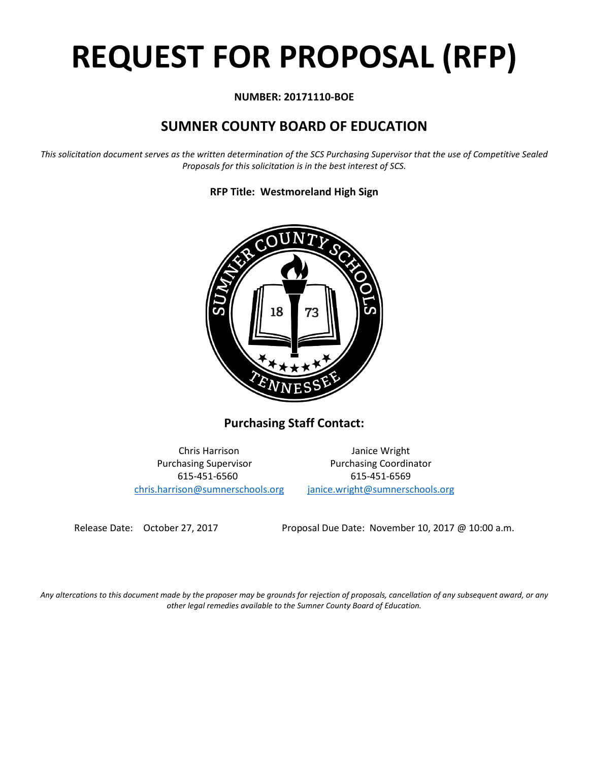# **REQUEST FOR PROPOSAL (RFP)**

# **NUMBER: 20171110-BOE**

# **SUMNER COUNTY BOARD OF EDUCATION**

*This solicitation document serves as the written determination of the SCS Purchasing Supervisor that the use of Competitive Sealed Proposals for this solicitation is in the best interest of SCS.*

**RFP Title: Westmoreland High Sign**



**Purchasing Staff Contact:**

[chris.harrison@sumnerschools.org](mailto:chris.harrison@sumnerschools.org) [janice.wright@sumnerschools.org](mailto:janice.wright@sumnerschools.org)

Chris Harrison Janice Wright Purchasing Supervisor **Purchasing Coordinator** 615-451-6560 615-451-6569

Release Date: October 27, 2017 Proposal Due Date: November 10, 2017 @ 10:00 a.m.

*Any altercations to this document made by the proposer may be grounds for rejection of proposals, cancellation of any subsequent award, or any other legal remedies available to the Sumner County Board of Education.*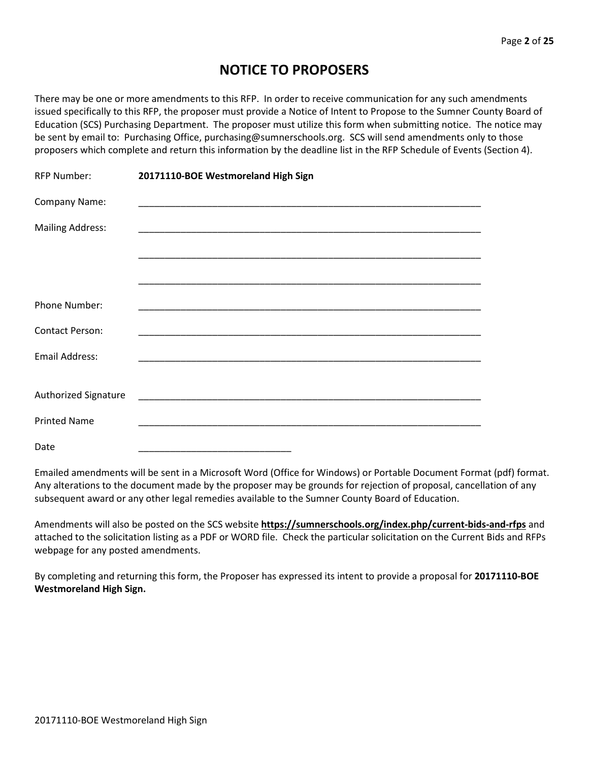# **NOTICE TO PROPOSERS**

There may be one or more amendments to this RFP. In order to receive communication for any such amendments issued specifically to this RFP, the proposer must provide a Notice of Intent to Propose to the Sumner County Board of Education (SCS) Purchasing Department. The proposer must utilize this form when submitting notice. The notice may be sent by email to: Purchasing Office, purchasing@sumnerschools.org. SCS will send amendments only to those proposers which complete and return this information by the deadline list in the RFP Schedule of Events (Section 4).

| <b>RFP Number:</b>      | 20171110-BOE Westmoreland High Sign                                                                                    |
|-------------------------|------------------------------------------------------------------------------------------------------------------------|
| Company Name:           |                                                                                                                        |
| <b>Mailing Address:</b> |                                                                                                                        |
|                         |                                                                                                                        |
|                         |                                                                                                                        |
| Phone Number:           |                                                                                                                        |
| <b>Contact Person:</b>  |                                                                                                                        |
| <b>Email Address:</b>   |                                                                                                                        |
|                         |                                                                                                                        |
| Authorized Signature    | <u> 1989 - Johann John Stone, markin amerikan basal dan berkembang dan berkembang dan berkembang dan berkembang da</u> |
| <b>Printed Name</b>     |                                                                                                                        |
| Date                    |                                                                                                                        |

Emailed amendments will be sent in a Microsoft Word (Office for Windows) or Portable Document Format (pdf) format. Any alterations to the document made by the proposer may be grounds for rejection of proposal, cancellation of any subsequent award or any other legal remedies available to the Sumner County Board of Education.

Amendments will also be posted on the SCS website **https://sumnerschools.org/index.php/current-bids-and-rfps** and attached to the solicitation listing as a PDF or WORD file. Check the particular solicitation on the Current Bids and RFPs webpage for any posted amendments.

By completing and returning this form, the Proposer has expressed its intent to provide a proposal for **20171110-BOE Westmoreland High Sign.**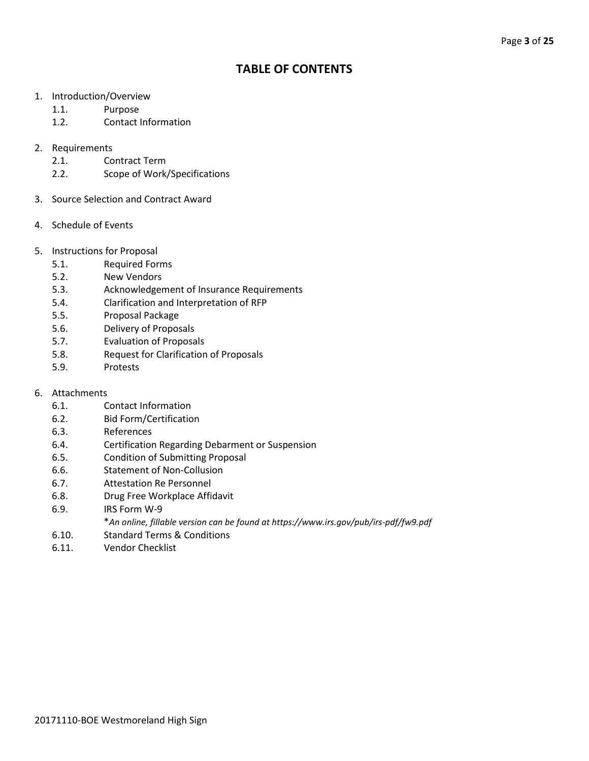# **TABLE OF CONTENTS**

- 1. Introduction/Overview
	- 1.1. Purpose
	- 1.2. Contact Information

# 2. Requirements

- 2.1. Contract Term
- 2.2. Scope of Work/Specifications
- 3. Source Selection and Contract Award
- 4. Schedule of Events
- 5. Instructions for Proposal
	- 5.1. Required Forms
	- 5.2. New Vendors
	- 5.3. Acknowledgement of Insurance Requirements
	- 5.4. Clarification and Interpretation of RFP
	- 5.5. Proposal Package
	- 5.6. Delivery of Proposals
	- 5.7. Evaluation of Proposals
	- 5.8. Request for Clarification of Proposals
	- 5.9. Protests
- 6. Attachments
	- 6.1. Contact Information
	- 6.2. Bid Form/Certification
	- 6.3. References
	- 6.4. Certification Regarding Debarment or Suspension
	- 6.5. Condition of Submitting Proposal
	- 6.6. Statement of Non-Collusion
	- 6.7. Attestation Re Personnel
	- 6.8. Drug Free Workplace Affidavit
	- 6.9. IRS Form W-9
		- \**An online, fillable version can be found at https://www.irs.gov/pub/irs-pdf/fw9.pdf*
	- 6.10. Standard Terms & Conditions
	- 6.11. Vendor Checklist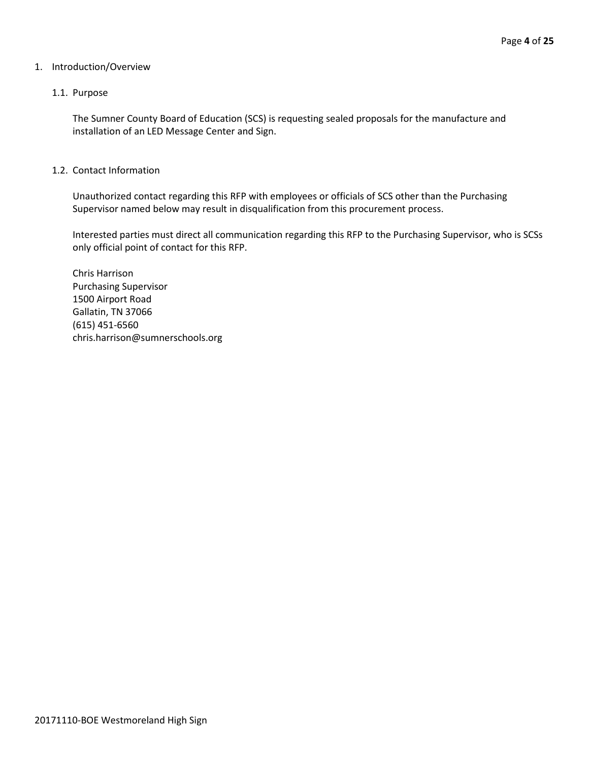#### 1. Introduction/Overview

#### 1.1. Purpose

The Sumner County Board of Education (SCS) is requesting sealed proposals for the manufacture and installation of an LED Message Center and Sign.

#### 1.2. Contact Information

Unauthorized contact regarding this RFP with employees or officials of SCS other than the Purchasing Supervisor named below may result in disqualification from this procurement process.

Interested parties must direct all communication regarding this RFP to the Purchasing Supervisor, who is SCSs only official point of contact for this RFP.

Chris Harrison Purchasing Supervisor 1500 Airport Road Gallatin, TN 37066 (615) 451-6560 chris.harrison@sumnerschools.org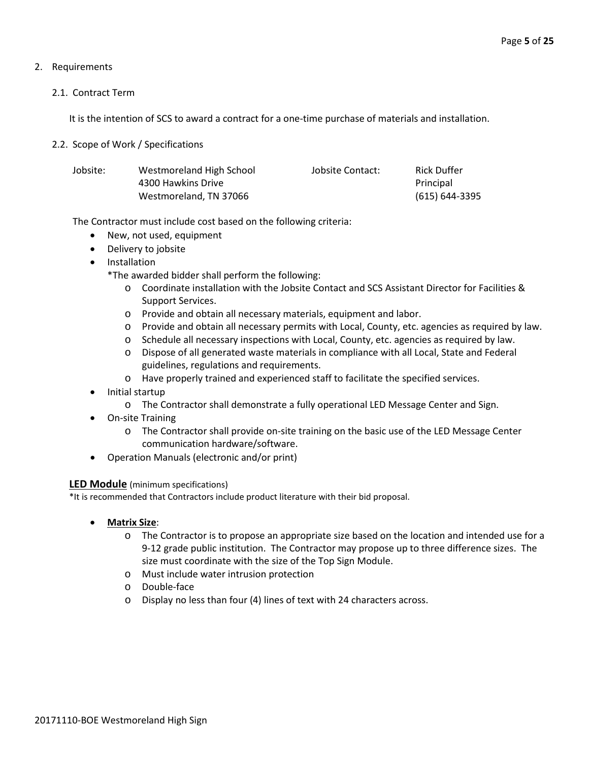# 2. Requirements

### 2.1. Contract Term

It is the intention of SCS to award a contract for a one-time purchase of materials and installation.

### 2.2. Scope of Work / Specifications

| Jobsite: | Westmoreland High School | Jobsite Contact: | <b>Rick Duffer</b> |
|----------|--------------------------|------------------|--------------------|
|          | 4300 Hawkins Drive       |                  | Principal          |
|          | Westmoreland, TN 37066   |                  | (615) 644-3395     |

The Contractor must include cost based on the following criteria:

- New, not used, equipment
- Delivery to jobsite
- Installation

\*The awarded bidder shall perform the following:

- o Coordinate installation with the Jobsite Contact and SCS Assistant Director for Facilities & Support Services.
- o Provide and obtain all necessary materials, equipment and labor.
- o Provide and obtain all necessary permits with Local, County, etc. agencies as required by law.
- o Schedule all necessary inspections with Local, County, etc. agencies as required by law.
- o Dispose of all generated waste materials in compliance with all Local, State and Federal guidelines, regulations and requirements.
- o Have properly trained and experienced staff to facilitate the specified services.
- Initial startup
	- o The Contractor shall demonstrate a fully operational LED Message Center and Sign.
- On-site Training
	- o The Contractor shall provide on-site training on the basic use of the LED Message Center communication hardware/software.
- Operation Manuals (electronic and/or print)

# **LED Module** (minimum specifications)

\*It is recommended that Contractors include product literature with their bid proposal.

- **Matrix Size**:
	- o The Contractor is to propose an appropriate size based on the location and intended use for a 9-12 grade public institution. The Contractor may propose up to three difference sizes. The size must coordinate with the size of the Top Sign Module.
	- o Must include water intrusion protection
	- o Double-face
	- o Display no less than four (4) lines of text with 24 characters across.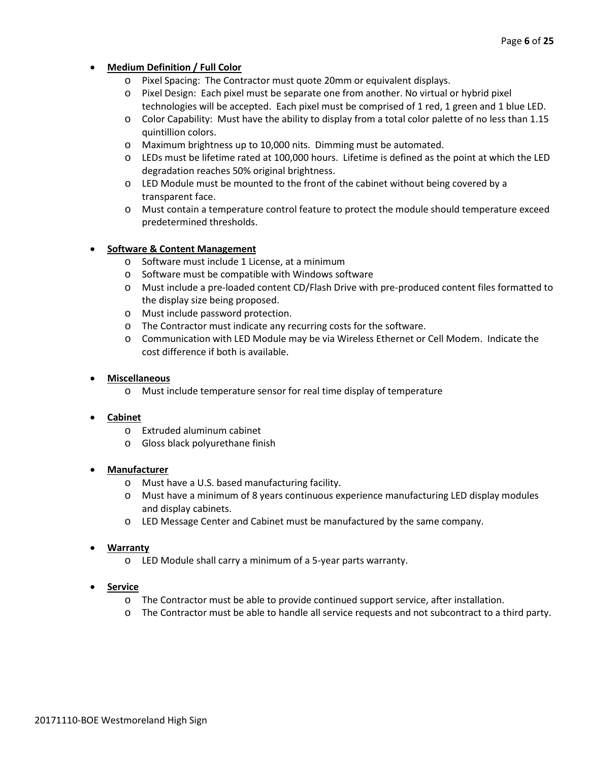# • **Medium Definition / Full Color**

- o Pixel Spacing: The Contractor must quote 20mm or equivalent displays.
- o Pixel Design: Each pixel must be separate one from another. No virtual or hybrid pixel technologies will be accepted. Each pixel must be comprised of 1 red, 1 green and 1 blue LED.
- o Color Capability: Must have the ability to display from a total color palette of no less than 1.15 quintillion colors.
- o Maximum brightness up to 10,000 nits. Dimming must be automated.
- o LEDs must be lifetime rated at 100,000 hours. Lifetime is defined as the point at which the LED degradation reaches 50% original brightness.
- o LED Module must be mounted to the front of the cabinet without being covered by a transparent face.
- o Must contain a temperature control feature to protect the module should temperature exceed predetermined thresholds.

# • **Software & Content Management**

- o Software must include 1 License, at a minimum
- o Software must be compatible with Windows software
- o Must include a pre-loaded content CD/Flash Drive with pre-produced content files formatted to the display size being proposed.
- o Must include password protection.
- o The Contractor must indicate any recurring costs for the software.
- o Communication with LED Module may be via Wireless Ethernet or Cell Modem. Indicate the cost difference if both is available.

#### • **Miscellaneous**

o Must include temperature sensor for real time display of temperature

#### • **Cabinet**

- o Extruded aluminum cabinet
- o Gloss black polyurethane finish

#### • **Manufacturer**

- o Must have a U.S. based manufacturing facility.
- o Must have a minimum of 8 years continuous experience manufacturing LED display modules and display cabinets.
- o LED Message Center and Cabinet must be manufactured by the same company.

#### • **Warranty**

o LED Module shall carry a minimum of a 5-year parts warranty.

#### • **Service**

- o The Contractor must be able to provide continued support service, after installation.
- o The Contractor must be able to handle all service requests and not subcontract to a third party.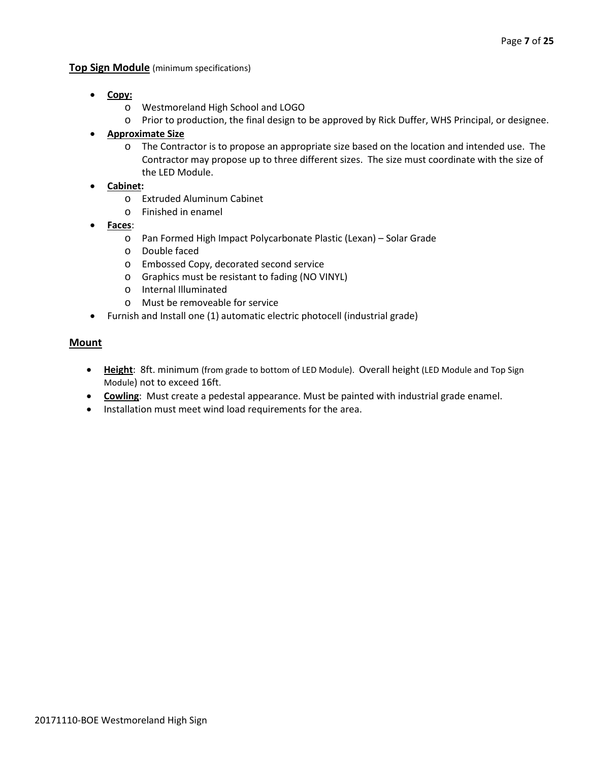### **Top Sign Module** (minimum specifications)

- **Copy:**
	- o Westmoreland High School and LOGO
	- o Prior to production, the final design to be approved by Rick Duffer, WHS Principal, or designee.

# • **Approximate Size**

o The Contractor is to propose an appropriate size based on the location and intended use. The Contractor may propose up to three different sizes. The size must coordinate with the size of the LED Module.

# • **Cabinet:**

- o Extruded Aluminum Cabinet
- o Finished in enamel
- **Faces**:
	- o Pan Formed High Impact Polycarbonate Plastic (Lexan) Solar Grade
	- o Double faced
	- o Embossed Copy, decorated second service
	- o Graphics must be resistant to fading (NO VINYL)
	- o Internal Illuminated
	- o Must be removeable for service
- Furnish and Install one (1) automatic electric photocell (industrial grade)

# **Mount**

- **Height**: 8ft. minimum (from grade to bottom of LED Module). Overall height (LED Module and Top Sign Module) not to exceed 16ft.
- **Cowling**: Must create a pedestal appearance. Must be painted with industrial grade enamel.
- Installation must meet wind load requirements for the area.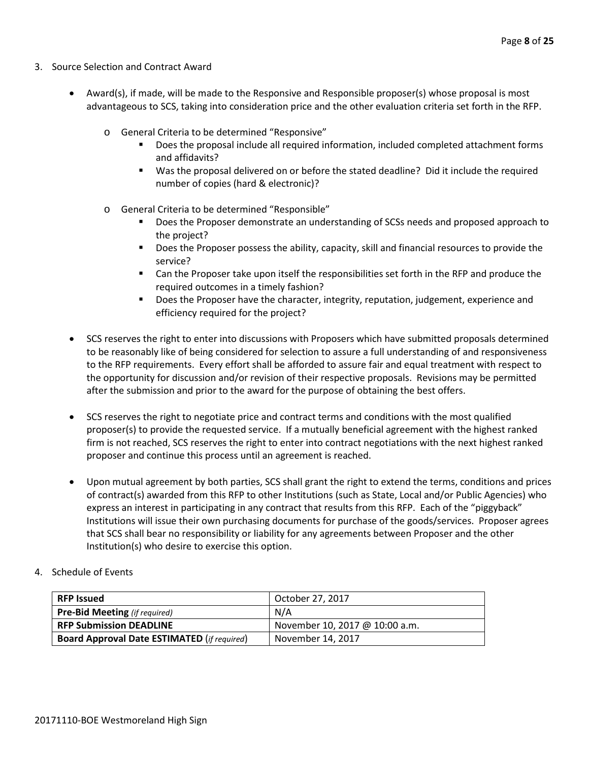- 3. Source Selection and Contract Award
	- Award(s), if made, will be made to the Responsive and Responsible proposer(s) whose proposal is most advantageous to SCS, taking into consideration price and the other evaluation criteria set forth in the RFP.
		- o General Criteria to be determined "Responsive"
			- Does the proposal include all required information, included completed attachment forms and affidavits?
			- Was the proposal delivered on or before the stated deadline? Did it include the required number of copies (hard & electronic)?
		- o General Criteria to be determined "Responsible"
			- Does the Proposer demonstrate an understanding of SCSs needs and proposed approach to the project?
			- **Does the Proposer possess the ability, capacity, skill and financial resources to provide the** service?
			- Can the Proposer take upon itself the responsibilities set forth in the RFP and produce the required outcomes in a timely fashion?
			- **Does the Proposer have the character, integrity, reputation, judgement, experience and** efficiency required for the project?
	- SCS reserves the right to enter into discussions with Proposers which have submitted proposals determined to be reasonably like of being considered for selection to assure a full understanding of and responsiveness to the RFP requirements. Every effort shall be afforded to assure fair and equal treatment with respect to the opportunity for discussion and/or revision of their respective proposals. Revisions may be permitted after the submission and prior to the award for the purpose of obtaining the best offers.
	- SCS reserves the right to negotiate price and contract terms and conditions with the most qualified proposer(s) to provide the requested service. If a mutually beneficial agreement with the highest ranked firm is not reached, SCS reserves the right to enter into contract negotiations with the next highest ranked proposer and continue this process until an agreement is reached.
	- Upon mutual agreement by both parties, SCS shall grant the right to extend the terms, conditions and prices of contract(s) awarded from this RFP to other Institutions (such as State, Local and/or Public Agencies) who express an interest in participating in any contract that results from this RFP. Each of the "piggyback" Institutions will issue their own purchasing documents for purchase of the goods/services. Proposer agrees that SCS shall bear no responsibility or liability for any agreements between Proposer and the other Institution(s) who desire to exercise this option.
- 4. Schedule of Events

| <b>RFP Issued</b>                                  | October 27, 2017               |
|----------------------------------------------------|--------------------------------|
| <b>Pre-Bid Meeting</b> (if required)               | N/A                            |
| <b>RFP Submission DEADLINE</b>                     | November 10, 2017 @ 10:00 a.m. |
| <b>Board Approval Date ESTIMATED (if required)</b> | November 14, 2017              |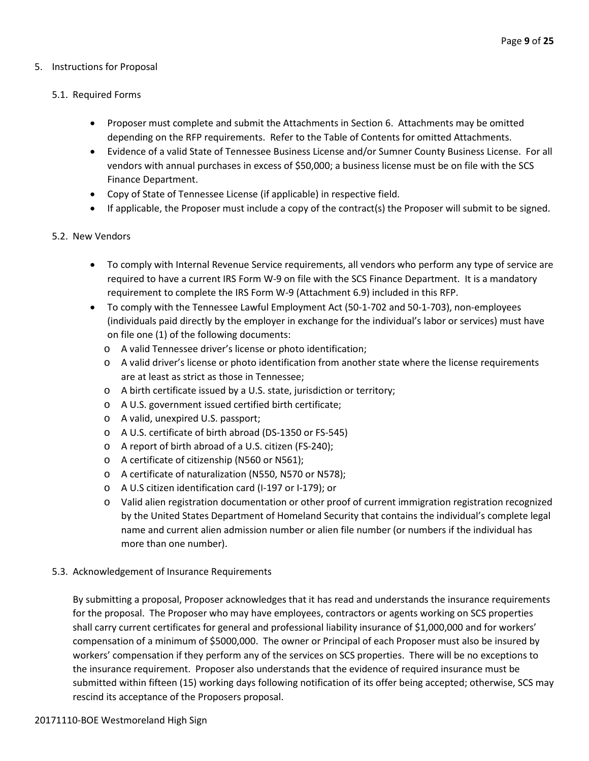### 5. Instructions for Proposal

# 5.1. Required Forms

- Proposer must complete and submit the Attachments in Section 6. Attachments may be omitted depending on the RFP requirements. Refer to the Table of Contents for omitted Attachments.
- Evidence of a valid State of Tennessee Business License and/or Sumner County Business License. For all vendors with annual purchases in excess of \$50,000; a business license must be on file with the SCS Finance Department.
- Copy of State of Tennessee License (if applicable) in respective field.
- If applicable, the Proposer must include a copy of the contract(s) the Proposer will submit to be signed.

# 5.2. New Vendors

- To comply with Internal Revenue Service requirements, all vendors who perform any type of service are required to have a current IRS Form W-9 on file with the SCS Finance Department. It is a mandatory requirement to complete the IRS Form W-9 (Attachment 6.9) included in this RFP.
- To comply with the Tennessee Lawful Employment Act (50-1-702 and 50-1-703), non-employees (individuals paid directly by the employer in exchange for the individual's labor or services) must have on file one (1) of the following documents:
	- o A valid Tennessee driver's license or photo identification;
	- o A valid driver's license or photo identification from another state where the license requirements are at least as strict as those in Tennessee;
	- o A birth certificate issued by a U.S. state, jurisdiction or territory;
	- o A U.S. government issued certified birth certificate;
	- o A valid, unexpired U.S. passport;
	- o A U.S. certificate of birth abroad (DS-1350 or FS-545)
	- o A report of birth abroad of a U.S. citizen (FS-240);
	- o A certificate of citizenship (N560 or N561);
	- o A certificate of naturalization (N550, N570 or N578);
	- o A U.S citizen identification card (I-197 or I-179); or
	- o Valid alien registration documentation or other proof of current immigration registration recognized by the United States Department of Homeland Security that contains the individual's complete legal name and current alien admission number or alien file number (or numbers if the individual has more than one number).

#### 5.3. Acknowledgement of Insurance Requirements

By submitting a proposal, Proposer acknowledges that it has read and understands the insurance requirements for the proposal. The Proposer who may have employees, contractors or agents working on SCS properties shall carry current certificates for general and professional liability insurance of \$1,000,000 and for workers' compensation of a minimum of \$5000,000. The owner or Principal of each Proposer must also be insured by workers' compensation if they perform any of the services on SCS properties. There will be no exceptions to the insurance requirement. Proposer also understands that the evidence of required insurance must be submitted within fifteen (15) working days following notification of its offer being accepted; otherwise, SCS may rescind its acceptance of the Proposers proposal.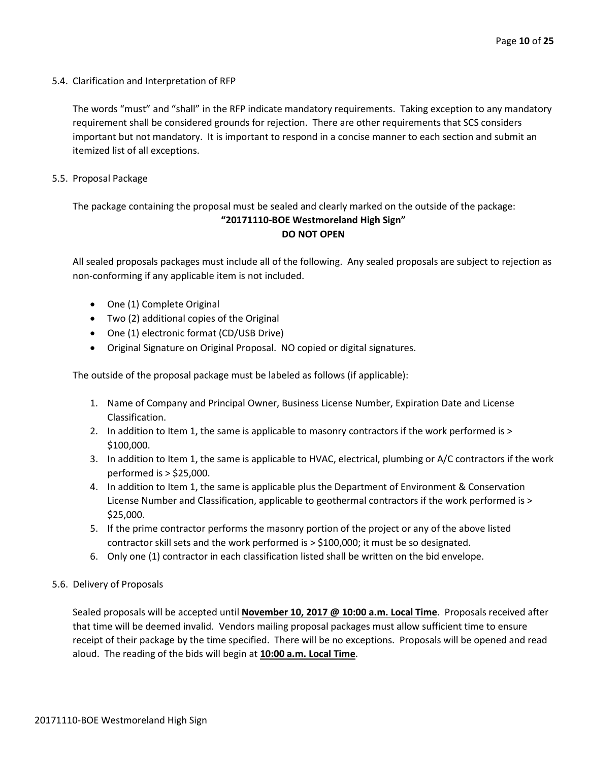5.4. Clarification and Interpretation of RFP

The words "must" and "shall" in the RFP indicate mandatory requirements. Taking exception to any mandatory requirement shall be considered grounds for rejection. There are other requirements that SCS considers important but not mandatory. It is important to respond in a concise manner to each section and submit an itemized list of all exceptions.

5.5. Proposal Package

The package containing the proposal must be sealed and clearly marked on the outside of the package: **"20171110-BOE Westmoreland High Sign" DO NOT OPEN**

All sealed proposals packages must include all of the following. Any sealed proposals are subject to rejection as non-conforming if any applicable item is not included.

- One (1) Complete Original
- Two (2) additional copies of the Original
- One (1) electronic format (CD/USB Drive)
- Original Signature on Original Proposal. NO copied or digital signatures.

The outside of the proposal package must be labeled as follows (if applicable):

- 1. Name of Company and Principal Owner, Business License Number, Expiration Date and License Classification.
- 2. In addition to Item 1, the same is applicable to masonry contractors if the work performed is > \$100,000.
- 3. In addition to Item 1, the same is applicable to HVAC, electrical, plumbing or A/C contractors if the work performed is > \$25,000.
- 4. In addition to Item 1, the same is applicable plus the Department of Environment & Conservation License Number and Classification, applicable to geothermal contractors if the work performed is > \$25,000.
- 5. If the prime contractor performs the masonry portion of the project or any of the above listed contractor skill sets and the work performed is > \$100,000; it must be so designated.
- 6. Only one (1) contractor in each classification listed shall be written on the bid envelope.
- 5.6. Delivery of Proposals

Sealed proposals will be accepted until **November 10, 2017 @ 10:00 a.m. Local Time**. Proposals received after that time will be deemed invalid. Vendors mailing proposal packages must allow sufficient time to ensure receipt of their package by the time specified. There will be no exceptions. Proposals will be opened and read aloud. The reading of the bids will begin at **10:00 a.m. Local Time**.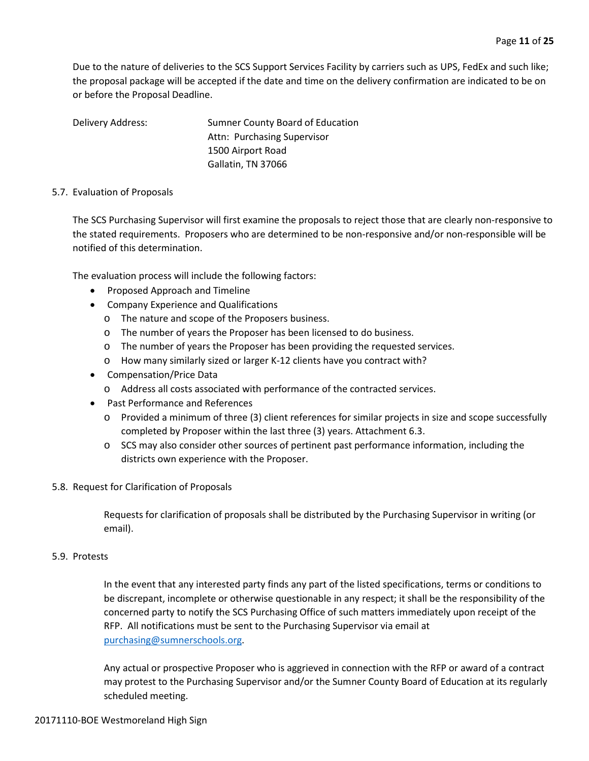Due to the nature of deliveries to the SCS Support Services Facility by carriers such as UPS, FedEx and such like; the proposal package will be accepted if the date and time on the delivery confirmation are indicated to be on or before the Proposal Deadline.

Delivery Address: Sumner County Board of Education Attn: Purchasing Supervisor 1500 Airport Road Gallatin, TN 37066

#### 5.7. Evaluation of Proposals

The SCS Purchasing Supervisor will first examine the proposals to reject those that are clearly non-responsive to the stated requirements. Proposers who are determined to be non-responsive and/or non-responsible will be notified of this determination.

The evaluation process will include the following factors:

- Proposed Approach and Timeline
- Company Experience and Qualifications
	- o The nature and scope of the Proposers business.
	- o The number of years the Proposer has been licensed to do business.
	- o The number of years the Proposer has been providing the requested services.
	- o How many similarly sized or larger K-12 clients have you contract with?
- Compensation/Price Data
	- o Address all costs associated with performance of the contracted services.
- Past Performance and References
	- o Provided a minimum of three (3) client references for similar projects in size and scope successfully completed by Proposer within the last three (3) years. Attachment 6.3.
	- o SCS may also consider other sources of pertinent past performance information, including the districts own experience with the Proposer.

#### 5.8. Request for Clarification of Proposals

Requests for clarification of proposals shall be distributed by the Purchasing Supervisor in writing (or email).

#### 5.9. Protests

In the event that any interested party finds any part of the listed specifications, terms or conditions to be discrepant, incomplete or otherwise questionable in any respect; it shall be the responsibility of the concerned party to notify the SCS Purchasing Office of such matters immediately upon receipt of the RFP. All notifications must be sent to the Purchasing Supervisor via email at [purchasing@sumnerschools.org.](mailto:purchasing@sumnerschools.org)

Any actual or prospective Proposer who is aggrieved in connection with the RFP or award of a contract may protest to the Purchasing Supervisor and/or the Sumner County Board of Education at its regularly scheduled meeting.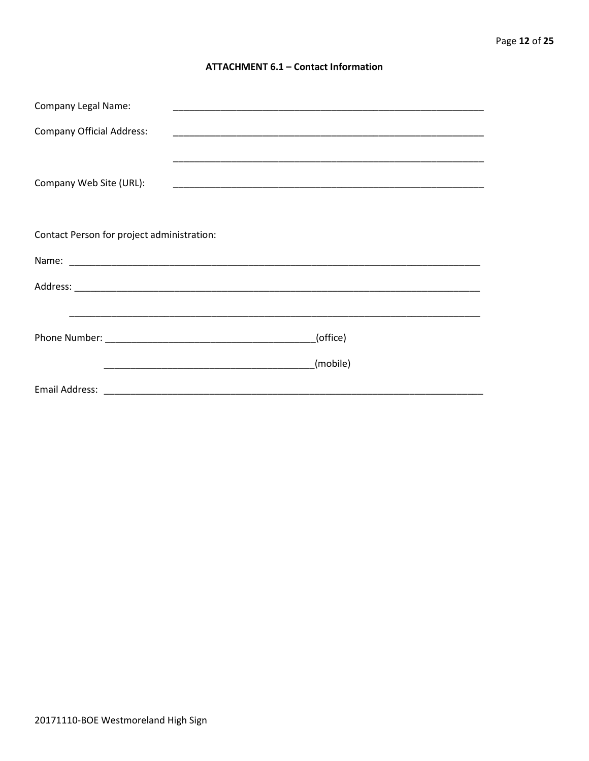#### **ATTACHMENT 6.1 - Contact Information**

| <b>Company Legal Name:</b>                 |          |
|--------------------------------------------|----------|
| <b>Company Official Address:</b>           |          |
|                                            |          |
| Company Web Site (URL):                    |          |
|                                            |          |
| Contact Person for project administration: |          |
|                                            |          |
|                                            |          |
|                                            |          |
|                                            | (office) |
|                                            | (mobile) |
|                                            |          |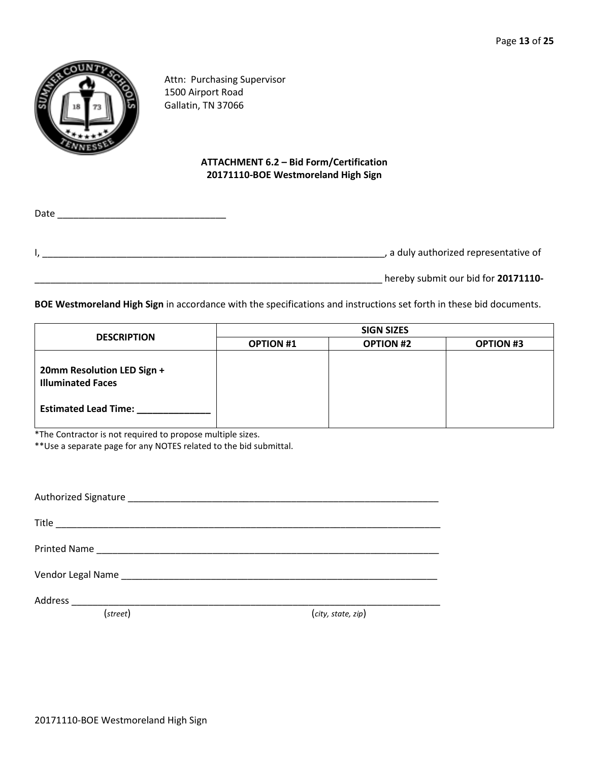

Attn: Purchasing Supervisor 1500 Airport Road Gallatin, TN 37066

# **ATTACHMENT 6.2 – Bid Form/Certification 20171110-BOE Westmoreland High Sign**

Date \_\_\_\_\_\_\_\_\_\_\_\_\_\_\_\_\_\_\_\_\_\_\_\_\_\_\_\_\_\_\_\_ I, \_\_\_\_\_\_\_\_\_\_\_\_\_\_\_\_\_\_\_\_\_\_\_\_\_\_\_\_\_\_\_\_\_\_\_\_\_\_\_\_\_\_\_\_\_\_\_\_\_\_\_\_\_\_\_\_\_\_\_\_\_\_\_\_\_, a duly authorized representative of

\_\_\_\_\_\_\_\_\_\_\_\_\_\_\_\_\_\_\_\_\_\_\_\_\_\_\_\_\_\_\_\_\_\_\_\_\_\_\_\_\_\_\_\_\_\_\_\_\_\_\_\_\_\_\_\_\_\_\_\_\_\_\_\_\_\_ hereby submit our bid for **20171110-**

**BOE Westmoreland High Sign** in accordance with the specifications and instructions set forth in these bid documents.

| <b>DESCRIPTION</b>                                     | <b>SIGN SIZES</b> |                  |                  |  |  |  |  |
|--------------------------------------------------------|-------------------|------------------|------------------|--|--|--|--|
|                                                        | <b>OPTION #1</b>  | <b>OPTION #2</b> | <b>OPTION #3</b> |  |  |  |  |
| 20mm Resolution LED Sign +<br><b>Illuminated Faces</b> |                   |                  |                  |  |  |  |  |
| <b>Estimated Lead Time:</b>                            |                   |                  |                  |  |  |  |  |

\*The Contractor is not required to propose multiple sizes.

\*\*Use a separate page for any NOTES related to the bid submittal.

| (street) | (city, state, zip) |
|----------|--------------------|
|          |                    |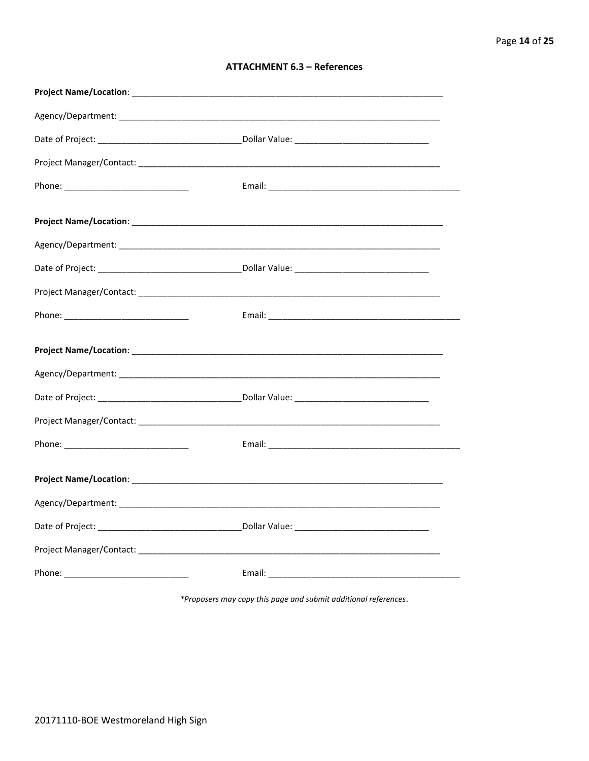| <b>ATTACHMENT 6.3 - References</b> |  |  |
|------------------------------------|--|--|
|------------------------------------|--|--|

\*Proposers may copy this page and submit additional references.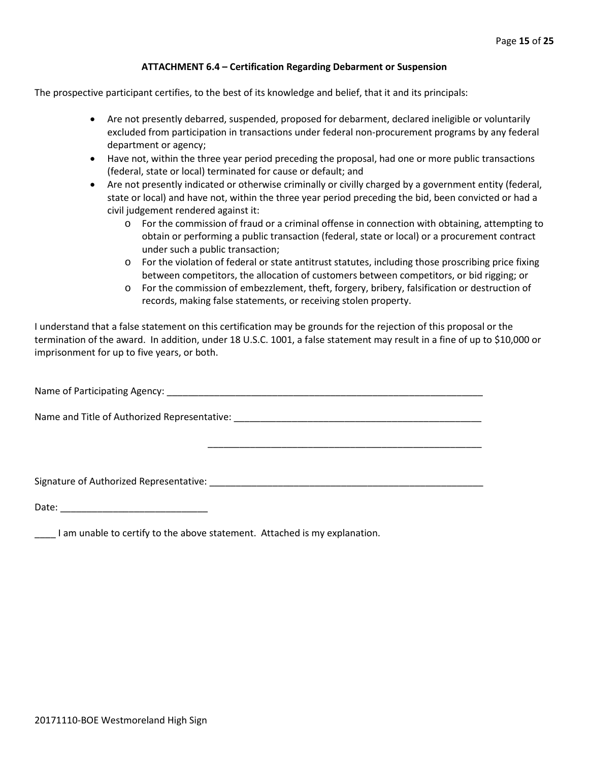#### **ATTACHMENT 6.4 – Certification Regarding Debarment or Suspension**

The prospective participant certifies, to the best of its knowledge and belief, that it and its principals:

- Are not presently debarred, suspended, proposed for debarment, declared ineligible or voluntarily excluded from participation in transactions under federal non-procurement programs by any federal department or agency;
- Have not, within the three year period preceding the proposal, had one or more public transactions (federal, state or local) terminated for cause or default; and
- Are not presently indicated or otherwise criminally or civilly charged by a government entity (federal, state or local) and have not, within the three year period preceding the bid, been convicted or had a civil judgement rendered against it:
	- $\circ$  For the commission of fraud or a criminal offense in connection with obtaining, attempting to obtain or performing a public transaction (federal, state or local) or a procurement contract under such a public transaction;
	- o For the violation of federal or state antitrust statutes, including those proscribing price fixing between competitors, the allocation of customers between competitors, or bid rigging; or
	- o For the commission of embezzlement, theft, forgery, bribery, falsification or destruction of records, making false statements, or receiving stolen property.

\_\_\_\_\_\_\_\_\_\_\_\_\_\_\_\_\_\_\_\_\_\_\_\_\_\_\_\_\_\_\_\_\_\_\_\_\_\_\_\_\_\_\_\_\_\_\_\_\_\_\_\_

I understand that a false statement on this certification may be grounds for the rejection of this proposal or the termination of the award. In addition, under 18 U.S.C. 1001, a false statement may result in a fine of up to \$10,000 or imprisonment for up to five years, or both.

Name of Participating Agency: \_\_\_\_\_\_\_\_\_\_\_\_\_\_\_\_\_\_\_\_\_\_\_\_\_\_\_\_\_\_\_\_\_\_\_\_\_\_\_\_\_\_\_\_\_\_\_\_\_\_\_\_\_\_\_\_\_\_\_\_

Name and Title of Authorized Representative: \_\_\_\_\_\_\_\_\_\_\_\_\_\_\_\_\_\_\_\_\_\_\_\_\_\_\_\_\_\_\_\_\_\_\_\_\_\_\_\_\_\_\_\_\_\_\_

Signature of Authorized Representative: \_\_\_\_\_\_\_\_\_\_\_\_\_\_\_\_\_\_\_\_\_\_\_\_\_\_\_\_\_\_\_\_\_\_\_\_\_\_\_\_\_\_\_\_\_\_\_\_\_\_\_\_

Date: \_\_\_\_\_\_\_\_\_\_\_\_\_\_\_\_\_\_\_\_\_\_\_\_\_\_\_\_

\_\_\_\_ I am unable to certify to the above statement. Attached is my explanation.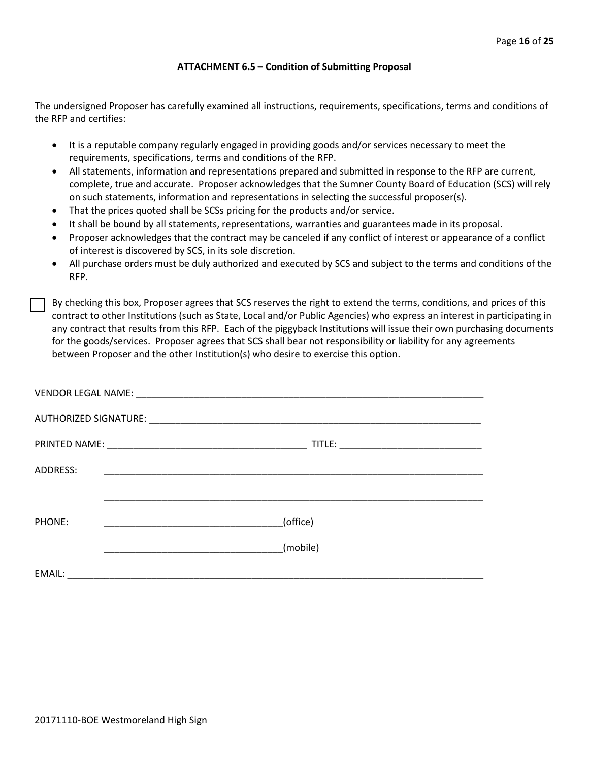#### **ATTACHMENT 6.5 – Condition of Submitting Proposal**

The undersigned Proposer has carefully examined all instructions, requirements, specifications, terms and conditions of the RFP and certifies:

- It is a reputable company regularly engaged in providing goods and/or services necessary to meet the requirements, specifications, terms and conditions of the RFP.
- All statements, information and representations prepared and submitted in response to the RFP are current, complete, true and accurate. Proposer acknowledges that the Sumner County Board of Education (SCS) will rely on such statements, information and representations in selecting the successful proposer(s).
- That the prices quoted shall be SCSs pricing for the products and/or service.
- It shall be bound by all statements, representations, warranties and guarantees made in its proposal.
- Proposer acknowledges that the contract may be canceled if any conflict of interest or appearance of a conflict of interest is discovered by SCS, in its sole discretion.
- All purchase orders must be duly authorized and executed by SCS and subject to the terms and conditions of the RFP.

By checking this box, Proposer agrees that SCS reserves the right to extend the terms, conditions, and prices of this contract to other Institutions (such as State, Local and/or Public Agencies) who express an interest in participating in any contract that results from this RFP. Each of the piggyback Institutions will issue their own purchasing documents for the goods/services. Proposer agrees that SCS shall bear not responsibility or liability for any agreements between Proposer and the other Institution(s) who desire to exercise this option.

| ADDRESS: | <u> 1999 - Johann John Stone, mars eta biztanleria (h. 1989).</u> |
|----------|-------------------------------------------------------------------|
|          |                                                                   |
| PHONE:   | (office)                                                          |
|          | (mobile)                                                          |
| EMAIL:   |                                                                   |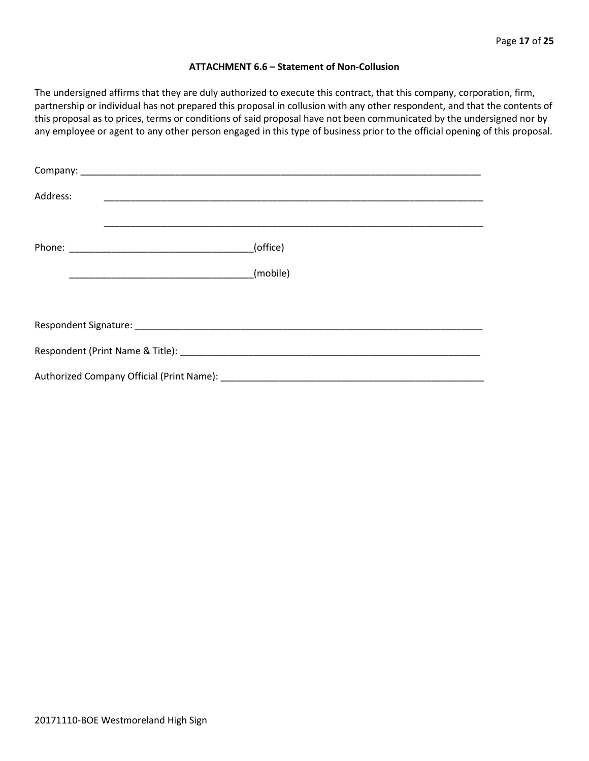#### **ATTACHMENT 6.6 – Statement of Non-Collusion**

The undersigned affirms that they are duly authorized to execute this contract, that this company, corporation, firm, partnership or individual has not prepared this proposal in collusion with any other respondent, and that the contents of this proposal as to prices, terms or conditions of said proposal have not been communicated by the undersigned nor by any employee or agent to any other person engaged in this type of business prior to the official opening of this proposal.

| Address: |          |
|----------|----------|
|          | (office) |
|          | (mobile) |
|          |          |
|          |          |
|          |          |
|          |          |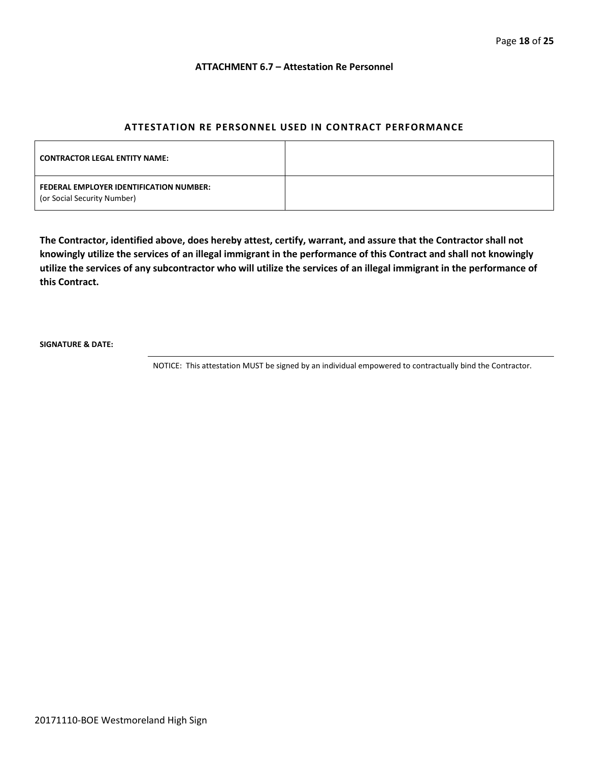#### **ATTACHMENT 6.7 – Attestation Re Personnel**

### **ATTESTATION RE PERSONNEL USED IN CONTRACT PERFORMANCE**

| <b>CONTRACTOR LEGAL ENTITY NAME:</b>                                   |  |
|------------------------------------------------------------------------|--|
| FEDERAL EMPLOYER IDENTIFICATION NUMBER:<br>(or Social Security Number) |  |

**The Contractor, identified above, does hereby attest, certify, warrant, and assure that the Contractor shall not knowingly utilize the services of an illegal immigrant in the performance of this Contract and shall not knowingly utilize the services of any subcontractor who will utilize the services of an illegal immigrant in the performance of this Contract.**

**SIGNATURE & DATE:**

NOTICE: This attestation MUST be signed by an individual empowered to contractually bind the Contractor.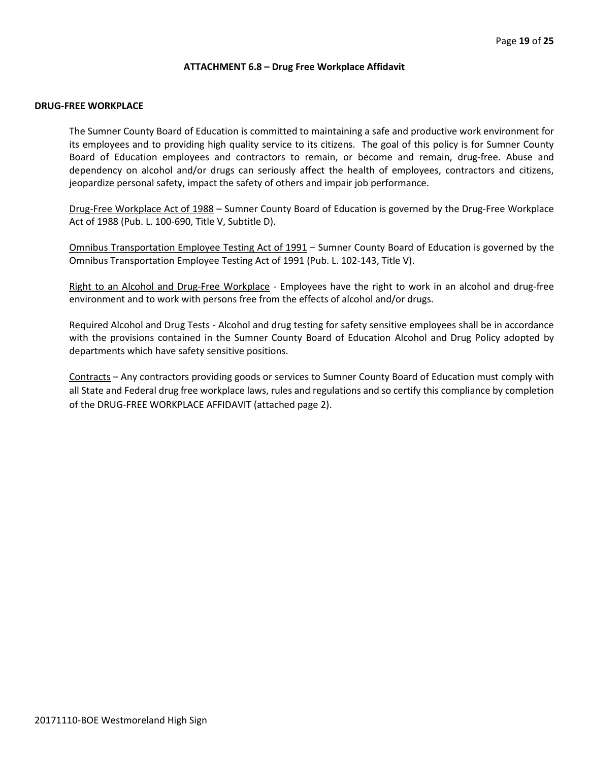#### **ATTACHMENT 6.8 – Drug Free Workplace Affidavit**

#### **DRUG-FREE WORKPLACE**

The Sumner County Board of Education is committed to maintaining a safe and productive work environment for its employees and to providing high quality service to its citizens. The goal of this policy is for Sumner County Board of Education employees and contractors to remain, or become and remain, drug-free. Abuse and dependency on alcohol and/or drugs can seriously affect the health of employees, contractors and citizens, jeopardize personal safety, impact the safety of others and impair job performance.

Drug-Free Workplace Act of 1988 – Sumner County Board of Education is governed by the Drug-Free Workplace Act of 1988 (Pub. L. 100-690, Title V, Subtitle D).

Omnibus Transportation Employee Testing Act of 1991 – Sumner County Board of Education is governed by the Omnibus Transportation Employee Testing Act of 1991 (Pub. L. 102-143, Title V).

Right to an Alcohol and Drug-Free Workplace - Employees have the right to work in an alcohol and drug-free environment and to work with persons free from the effects of alcohol and/or drugs.

Required Alcohol and Drug Tests - Alcohol and drug testing for safety sensitive employees shall be in accordance with the provisions contained in the Sumner County Board of Education Alcohol and Drug Policy adopted by departments which have safety sensitive positions.

Contracts – Any contractors providing goods or services to Sumner County Board of Education must comply with all State and Federal drug free workplace laws, rules and regulations and so certify this compliance by completion of the DRUG-FREE WORKPLACE AFFIDAVIT (attached page 2).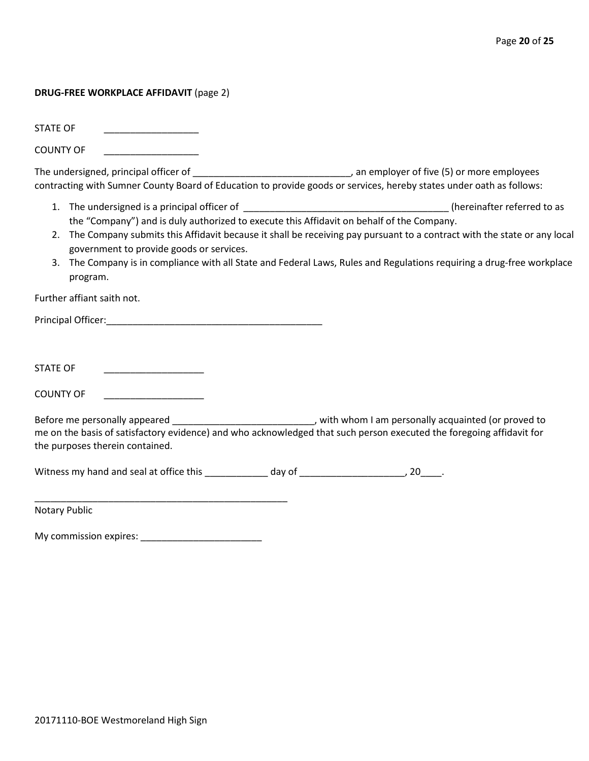#### **DRUG-FREE WORKPLACE AFFIDAVIT** (page 2)

STATE OF

COUNTY OF

The undersigned, principal officer of \_\_\_\_\_\_\_\_\_\_\_\_\_\_\_\_\_\_\_\_\_\_\_\_\_\_\_\_\_\_\_\_\_\_, an employer of five (5) or more employees contracting with Sumner County Board of Education to provide goods or services, hereby states under oath as follows:

- 1. The undersigned is a principal officer of \_\_\_\_\_\_\_\_\_\_\_\_\_\_\_\_\_\_\_\_\_\_\_\_\_\_\_\_\_\_\_\_\_\_\_\_\_\_\_ (hereinafter referred to as the "Company") and is duly authorized to execute this Affidavit on behalf of the Company.
- 2. The Company submits this Affidavit because it shall be receiving pay pursuant to a contract with the state or any local government to provide goods or services.
- 3. The Company is in compliance with all State and Federal Laws, Rules and Regulations requiring a drug-free workplace program.

Further affiant saith not.

Principal Officer:\_\_\_\_\_\_\_\_\_\_\_\_\_\_\_\_\_\_\_\_\_\_\_\_\_\_\_\_\_\_\_\_\_\_\_\_\_\_\_\_\_

STATE OF \_\_\_\_\_\_\_\_\_\_\_\_\_\_\_\_\_\_\_

COUNTY OF

Before me personally appeared \_\_\_\_\_\_\_\_\_\_\_\_\_\_\_\_\_\_\_\_\_\_\_\_\_\_\_\_\_\_, with whom I am personally acquainted (or proved to me on the basis of satisfactory evidence) and who acknowledged that such person executed the foregoing affidavit for the purposes therein contained.

Witness my hand and seal at office this \_\_\_\_\_\_\_\_\_\_\_\_\_ day of \_\_\_\_\_\_\_\_\_\_\_\_\_\_\_\_\_\_\_\_, 20\_\_\_\_.

Notary Public

My commission expires: \_\_\_\_\_\_\_\_\_\_\_\_\_\_\_\_\_\_\_\_\_\_\_

\_\_\_\_\_\_\_\_\_\_\_\_\_\_\_\_\_\_\_\_\_\_\_\_\_\_\_\_\_\_\_\_\_\_\_\_\_\_\_\_\_\_\_\_\_\_\_\_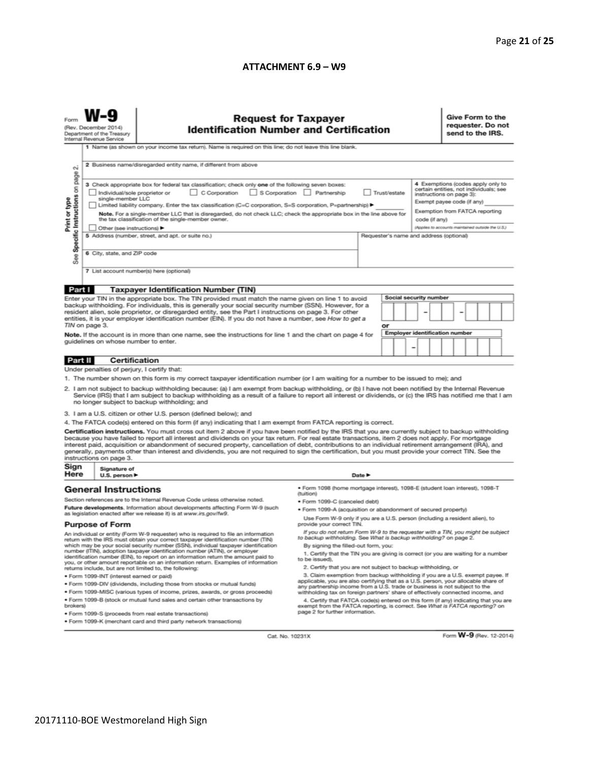#### **ATTACHMENT 6.9 – W9**

| <b>Request for Taxpayer</b><br>(Rev. December 2014)<br><b>Identification Number and Certification</b><br>Department of the Treasury<br>Internal Revenue Service<br>1 Name (as shown on your income tax return). Name is required on this line; do not leave this line blank.<br>2 Business name/disregarded entity name, if different from above                                                                                                                                                                                                                                                                                                                                                                                                                                                                                                                                                                                                                                                                                                                                                                                                                                                                                                                                                                                                                                                              |                                                                                                                                                                                                                                                                                                 |                                                                                                                                                                                                                                                                                                                                                                                                                                                                                                                                                                                                                                                                                                                                                                                                      |                                                                                                                                                                            |  |  |  |  | Give Form to the<br>send to the IRS. |  | requester. Do not |  |  |
|---------------------------------------------------------------------------------------------------------------------------------------------------------------------------------------------------------------------------------------------------------------------------------------------------------------------------------------------------------------------------------------------------------------------------------------------------------------------------------------------------------------------------------------------------------------------------------------------------------------------------------------------------------------------------------------------------------------------------------------------------------------------------------------------------------------------------------------------------------------------------------------------------------------------------------------------------------------------------------------------------------------------------------------------------------------------------------------------------------------------------------------------------------------------------------------------------------------------------------------------------------------------------------------------------------------------------------------------------------------------------------------------------------------|-------------------------------------------------------------------------------------------------------------------------------------------------------------------------------------------------------------------------------------------------------------------------------------------------|------------------------------------------------------------------------------------------------------------------------------------------------------------------------------------------------------------------------------------------------------------------------------------------------------------------------------------------------------------------------------------------------------------------------------------------------------------------------------------------------------------------------------------------------------------------------------------------------------------------------------------------------------------------------------------------------------------------------------------------------------------------------------------------------------|----------------------------------------------------------------------------------------------------------------------------------------------------------------------------|--|--|--|--|--------------------------------------|--|-------------------|--|--|
| N<br>Specific Instructions on page<br>4 Exemptions (codes apply only to<br>3 Check appropriate box for federal tax classification; check only one of the following seven boxes:<br>certain entities, not individuals; see<br>C Corporation<br>S Corporation Partnership<br>Trust/estate<br>Individual/sole proprietor or<br>instructions on page 3):<br>single-member LLC<br>Print or type<br>Exempt payee code (if any)<br>Limited liability company. Enter the tax classification (C=C corporation, S=S corporation, P=partnership) ▶<br>Exemption from FATCA reporting<br>Note. For a single-member LLC that is disregarded, do not check LLC; check the appropriate box in the line above for<br>the tax classification of the single-member owner.<br>code (if any)<br>(Applies to accounts maintained outside the U.S.)<br>Other (see instructions) ▶<br>5 Address (number, street, and apt. or suite no.)<br>Requester's name and address (optional)<br>6 City, state, and ZIP code<br>See<br>7 List account number(s) here (optional)                                                                                                                                                                                                                                                                                                                                                                 |                                                                                                                                                                                                                                                                                                 |                                                                                                                                                                                                                                                                                                                                                                                                                                                                                                                                                                                                                                                                                                                                                                                                      |                                                                                                                                                                            |  |  |  |  |                                      |  |                   |  |  |
|                                                                                                                                                                                                                                                                                                                                                                                                                                                                                                                                                                                                                                                                                                                                                                                                                                                                                                                                                                                                                                                                                                                                                                                                                                                                                                                                                                                                               |                                                                                                                                                                                                                                                                                                 |                                                                                                                                                                                                                                                                                                                                                                                                                                                                                                                                                                                                                                                                                                                                                                                                      |                                                                                                                                                                            |  |  |  |  |                                      |  |                   |  |  |
| Part I<br><b>Taxpayer Identification Number (TIN)</b><br>Social security number<br>Enter your TIN in the appropriate box. The TIN provided must match the name given on line 1 to avoid<br>backup withholding. For individuals, this is generally your social security number (SSN). However, for a<br>resident alien, sole proprietor, or disregarded entity, see the Part I instructions on page 3. For other<br>-<br>entities, it is your employer identification number (EIN). If you do not have a number, see How to get a<br>TIN on page 3.<br>or<br><b>Employer identification number</b><br>Note. If the account is in more than one name, see the instructions for line 1 and the chart on page 4 for<br>guidelines on whose number to enter.                                                                                                                                                                                                                                                                                                                                                                                                                                                                                                                                                                                                                                                       |                                                                                                                                                                                                                                                                                                 |                                                                                                                                                                                                                                                                                                                                                                                                                                                                                                                                                                                                                                                                                                                                                                                                      |                                                                                                                                                                            |  |  |  |  |                                      |  |                   |  |  |
|                                                                                                                                                                                                                                                                                                                                                                                                                                                                                                                                                                                                                                                                                                                                                                                                                                                                                                                                                                                                                                                                                                                                                                                                                                                                                                                                                                                                               |                                                                                                                                                                                                                                                                                                 |                                                                                                                                                                                                                                                                                                                                                                                                                                                                                                                                                                                                                                                                                                                                                                                                      |                                                                                                                                                                            |  |  |  |  |                                      |  |                   |  |  |
| Part II                                                                                                                                                                                                                                                                                                                                                                                                                                                                                                                                                                                                                                                                                                                                                                                                                                                                                                                                                                                                                                                                                                                                                                                                                                                                                                                                                                                                       | <b>Certification</b>                                                                                                                                                                                                                                                                            |                                                                                                                                                                                                                                                                                                                                                                                                                                                                                                                                                                                                                                                                                                                                                                                                      |                                                                                                                                                                            |  |  |  |  |                                      |  |                   |  |  |
| Under penalties of perjury, I certify that:<br>1. The number shown on this form is my correct taxpayer identification number (or I am waiting for a number to be issued to me); and<br>2. I am not subject to backup withholding because: (a) I am exempt from backup withholding, or (b) I have not been notified by the Internal Revenue<br>Service (IRS) that I am subject to backup withholding as a result of a failure to report all interest or dividends, or (c) the IRS has notified me that I am<br>no longer subject to backup withholding; and<br>3. I am a U.S. citizen or other U.S. person (defined below); and<br>4. The FATCA code(s) entered on this form (if any) indicating that I am exempt from FATCA reporting is correct.<br>Certification instructions. You must cross out item 2 above if you have been notified by the IRS that you are currently subject to backup withholding<br>because you have failed to report all interest and dividends on your tax return. For real estate transactions, item 2 does not apply. For mortgage<br>interest paid, acquisition or abandonment of secured property, cancellation of debt, contributions to an individual retirement arrangement (IRA), and<br>generally, payments other than interest and dividends, you are not required to sign the certification, but you must provide your correct TIN. See the<br>instructions on page 3. |                                                                                                                                                                                                                                                                                                 |                                                                                                                                                                                                                                                                                                                                                                                                                                                                                                                                                                                                                                                                                                                                                                                                      |                                                                                                                                                                            |  |  |  |  |                                      |  |                   |  |  |
| Sign                                                                                                                                                                                                                                                                                                                                                                                                                                                                                                                                                                                                                                                                                                                                                                                                                                                                                                                                                                                                                                                                                                                                                                                                                                                                                                                                                                                                          | Signature of                                                                                                                                                                                                                                                                                    |                                                                                                                                                                                                                                                                                                                                                                                                                                                                                                                                                                                                                                                                                                                                                                                                      |                                                                                                                                                                            |  |  |  |  |                                      |  |                   |  |  |
|                                                                                                                                                                                                                                                                                                                                                                                                                                                                                                                                                                                                                                                                                                                                                                                                                                                                                                                                                                                                                                                                                                                                                                                                                                                                                                                                                                                                               | Here<br>Date $\blacktriangleright$<br>U.S. person ▶<br>· Form 1098 (home mortgage interest), 1098-E (student loan interest), 1098-T<br><b>General Instructions</b><br>(tuition)<br>Section references are to the Internal Revenue Code unless otherwise noted.<br>· Form 1099-C (canceled debt) |                                                                                                                                                                                                                                                                                                                                                                                                                                                                                                                                                                                                                                                                                                                                                                                                      |                                                                                                                                                                            |  |  |  |  |                                      |  |                   |  |  |
| Future developments. Information about developments affecting Form W-9 (such<br>as legislation enacted after we release it) is at www.irs.gov/fw9.<br><b>Purpose of Form</b>                                                                                                                                                                                                                                                                                                                                                                                                                                                                                                                                                                                                                                                                                                                                                                                                                                                                                                                                                                                                                                                                                                                                                                                                                                  |                                                                                                                                                                                                                                                                                                 |                                                                                                                                                                                                                                                                                                                                                                                                                                                                                                                                                                                                                                                                                                                                                                                                      | . Form 1099-A (acquisition or abandonment of secured property)<br>Use Form W-9 only if you are a U.S. person (including a resident alien), to<br>provide your correct TIN. |  |  |  |  |                                      |  |                   |  |  |
| An individual or entity (Form W-9 requester) who is required to file an information<br>return with the IRS must obtain your correct taxpayer identification number (TIN)<br>which may be your social security number (SSN), individual taxpayer identification<br>number (ITIN), adoption taxpayer identification number (ATIN), or employer<br>identification number (EIN), to report on an information return the amount paid to<br>you, or other amount reportable on an information return. Examples of information<br>returns include, but are not limited to, the following:<br>· Form 1099-INT (interest earned or paid)<br>. Form 1099-DIV (dividends, including those from stocks or mutual funds)<br>* Form 1099-MISC (various types of income, prizes, awards, or gross proceeds)<br>. Form 1099-B (stock or mutual fund sales and certain other transactions by                                                                                                                                                                                                                                                                                                                                                                                                                                                                                                                                   |                                                                                                                                                                                                                                                                                                 | If you do not return Form W-9 to the requester with a TIN, you might be subject<br>to backup withholding. See What is backup withholding? on page 2.<br>By signing the filled-out form, you:<br>1. Certify that the TIN you are giving is correct (or you are waiting for a number<br>to be issued).<br>2. Certify that you are not subject to backup withholding, or<br>3. Claim exemption from backup withholding if you are a U.S. exempt payee. If<br>applicable, you are also certifying that as a U.S. person, your allocable share of<br>any partnership income from a U.S. trade or business is not subject to the<br>withholding tax on foreign partners' share of effectively connected income, and<br>4. Certify that FATCA code(s) entered on this form (if any) indicating that you are |                                                                                                                                                                            |  |  |  |  |                                      |  |                   |  |  |
|                                                                                                                                                                                                                                                                                                                                                                                                                                                                                                                                                                                                                                                                                                                                                                                                                                                                                                                                                                                                                                                                                                                                                                                                                                                                                                                                                                                                               | brokers)<br>exempt from the FATCA reporting, is correct. See What is FATCA reporting? on<br>page 2 for further information.<br>· Form 1099-S (proceeds from real estate transactions)<br>. Form 1099-K (merchant card and third party network transactions)                                     |                                                                                                                                                                                                                                                                                                                                                                                                                                                                                                                                                                                                                                                                                                                                                                                                      |                                                                                                                                                                            |  |  |  |  |                                      |  |                   |  |  |

Cat. No. 10231X

Form W-9 (Rev. 12-2014)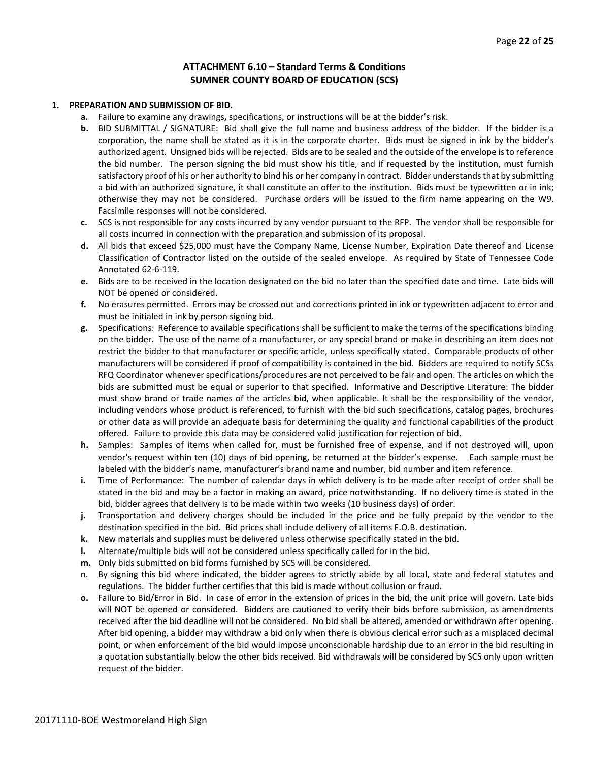#### **ATTACHMENT 6.10 – Standard Terms & Conditions SUMNER COUNTY BOARD OF EDUCATION (SCS)**

#### **1. PREPARATION AND SUBMISSION OF BID.**

- **a.** Failure to examine any drawings**,** specifications, or instructions will be at the bidder's risk.
- **b.** BID SUBMITTAL / SIGNATURE: Bid shall give the full name and business address of the bidder. If the bidder is a corporation, the name shall be stated as it is in the corporate charter. Bids must be signed in ink by the bidder's authorized agent. Unsigned bids will be rejected. Bids are to be sealed and the outside of the envelope is to reference the bid number. The person signing the bid must show his title, and if requested by the institution, must furnish satisfactory proof of his or her authority to bind his or her company in contract. Bidder understands that by submitting a bid with an authorized signature, it shall constitute an offer to the institution. Bids must be typewritten or in ink; otherwise they may not be considered. Purchase orders will be issued to the firm name appearing on the W9. Facsimile responses will not be considered.
- **c.** SCS is not responsible for any costs incurred by any vendor pursuant to the RFP. The vendor shall be responsible for all costs incurred in connection with the preparation and submission of its proposal.
- **d.** All bids that exceed \$25,000 must have the Company Name, License Number, Expiration Date thereof and License Classification of Contractor listed on the outside of the sealed envelope. As required by State of Tennessee Code Annotated 62-6-119.
- **e.** Bids are to be received in the location designated on the bid no later than the specified date and time. Late bids will NOT be opened or considered.
- **f.** No erasures permitted. Errors may be crossed out and corrections printed in ink or typewritten adjacent to error and must be initialed in ink by person signing bid.
- **g.** Specifications: Reference to available specifications shall be sufficient to make the terms of the specifications binding on the bidder. The use of the name of a manufacturer, or any special brand or make in describing an item does not restrict the bidder to that manufacturer or specific article, unless specifically stated. Comparable products of other manufacturers will be considered if proof of compatibility is contained in the bid. Bidders are required to notify SCSs RFQ Coordinator whenever specifications/procedures are not perceived to be fair and open. The articles on which the bids are submitted must be equal or superior to that specified. Informative and Descriptive Literature: The bidder must show brand or trade names of the articles bid, when applicable. It shall be the responsibility of the vendor, including vendors whose product is referenced, to furnish with the bid such specifications, catalog pages, brochures or other data as will provide an adequate basis for determining the quality and functional capabilities of the product offered. Failure to provide this data may be considered valid justification for rejection of bid.
- **h.** Samples: Samples of items when called for, must be furnished free of expense, and if not destroyed will, upon vendor's request within ten (10) days of bid opening, be returned at the bidder's expense. Each sample must be labeled with the bidder's name, manufacturer's brand name and number, bid number and item reference.
- **i.** Time of Performance: The number of calendar days in which delivery is to be made after receipt of order shall be stated in the bid and may be a factor in making an award, price notwithstanding. If no delivery time is stated in the bid, bidder agrees that delivery is to be made within two weeks (10 business days) of order.
- **j.** Transportation and delivery charges should be included in the price and be fully prepaid by the vendor to the destination specified in the bid. Bid prices shall include delivery of all items F.O.B. destination.
- **k.** New materials and supplies must be delivered unless otherwise specifically stated in the bid.
- **l.** Alternate/multiple bids will not be considered unless specifically called for in the bid.
- **m.** Only bids submitted on bid forms furnished by SCS will be considered.
- n. By signing this bid where indicated, the bidder agrees to strictly abide by all local, state and federal statutes and regulations. The bidder further certifies that this bid is made without collusion or fraud.
- **o.** Failure to Bid/Error in Bid. In case of error in the extension of prices in the bid, the unit price will govern. Late bids will NOT be opened or considered. Bidders are cautioned to verify their bids before submission, as amendments received after the bid deadline will not be considered. No bid shall be altered, amended or withdrawn after opening. After bid opening, a bidder may withdraw a bid only when there is obvious clerical error such as a misplaced decimal point, or when enforcement of the bid would impose unconscionable hardship due to an error in the bid resulting in a quotation substantially below the other bids received. Bid withdrawals will be considered by SCS only upon written request of the bidder.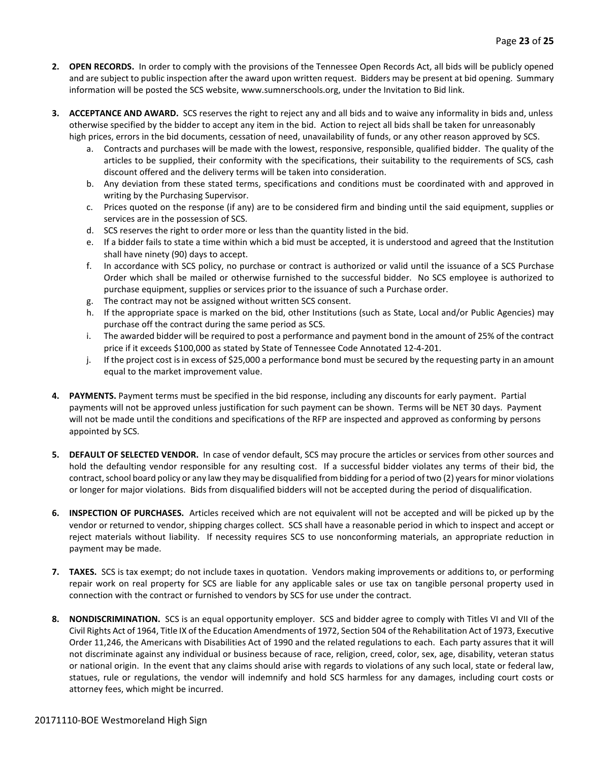- **2. OPEN RECORDS.** In order to comply with the provisions of the Tennessee Open Records Act, all bids will be publicly opened and are subject to public inspection after the award upon written request. Bidders may be present at bid opening. Summary information will be posted the SCS website, www.sumnerschools.org, under the Invitation to Bid link.
- **3. ACCEPTANCE AND AWARD.** SCS reserves the right to reject any and all bids and to waive any informality in bids and, unless otherwise specified by the bidder to accept any item in the bid. Action to reject all bids shall be taken for unreasonably high prices, errors in the bid documents, cessation of need, unavailability of funds, or any other reason approved by SCS.
	- a. Contracts and purchases will be made with the lowest, responsive, responsible, qualified bidder. The quality of the articles to be supplied, their conformity with the specifications, their suitability to the requirements of SCS, cash discount offered and the delivery terms will be taken into consideration.
	- b. Any deviation from these stated terms, specifications and conditions must be coordinated with and approved in writing by the Purchasing Supervisor.
	- c. Prices quoted on the response (if any) are to be considered firm and binding until the said equipment, supplies or services are in the possession of SCS.
	- d. SCS reserves the right to order more or less than the quantity listed in the bid.
	- e. If a bidder fails to state a time within which a bid must be accepted, it is understood and agreed that the Institution shall have ninety (90) days to accept.
	- f. In accordance with SCS policy, no purchase or contract is authorized or valid until the issuance of a SCS Purchase Order which shall be mailed or otherwise furnished to the successful bidder. No SCS employee is authorized to purchase equipment, supplies or services prior to the issuance of such a Purchase order.
	- g. The contract may not be assigned without written SCS consent.
	- h. If the appropriate space is marked on the bid, other Institutions (such as State, Local and/or Public Agencies) may purchase off the contract during the same period as SCS.
	- i. The awarded bidder will be required to post a performance and payment bond in the amount of 25% of the contract price if it exceeds \$100,000 as stated by State of Tennessee Code Annotated 12-4-201.
	- j. If the project cost is in excess of \$25,000 a performance bond must be secured by the requesting party in an amount equal to the market improvement value.
- **4. PAYMENTS.** Payment terms must be specified in the bid response, including any discounts for early payment. Partial payments will not be approved unless justification for such payment can be shown. Terms will be NET 30 days. Payment will not be made until the conditions and specifications of the RFP are inspected and approved as conforming by persons appointed by SCS.
- **5. DEFAULT OF SELECTED VENDOR.** In case of vendor default, SCS may procure the articles or services from other sources and hold the defaulting vendor responsible for any resulting cost. If a successful bidder violates any terms of their bid, the contract, school board policy or any law they may be disqualified from bidding for a period of two (2) years for minor violations or longer for major violations. Bids from disqualified bidders will not be accepted during the period of disqualification.
- **6. INSPECTION OF PURCHASES.** Articles received which are not equivalent will not be accepted and will be picked up by the vendor or returned to vendor, shipping charges collect. SCS shall have a reasonable period in which to inspect and accept or reject materials without liability. If necessity requires SCS to use nonconforming materials, an appropriate reduction in payment may be made.
- **7. TAXES.** SCS is tax exempt; do not include taxes in quotation. Vendors making improvements or additions to, or performing repair work on real property for SCS are liable for any applicable sales or use tax on tangible personal property used in connection with the contract or furnished to vendors by SCS for use under the contract.
- **8. NONDISCRIMINATION.** SCS is an equal opportunity employer. SCS and bidder agree to comply with Titles VI and VII of the Civil Rights Act of 1964, Title IX of the Education Amendments of 1972, Section 504 of the Rehabilitation Act of 1973, Executive Order 11,246, the Americans with Disabilities Act of 1990 and the related regulations to each. Each party assures that it will not discriminate against any individual or business because of race, religion, creed, color, sex, age, disability, veteran status or national origin. In the event that any claims should arise with regards to violations of any such local, state or federal law, statues, rule or regulations, the vendor will indemnify and hold SCS harmless for any damages, including court costs or attorney fees, which might be incurred.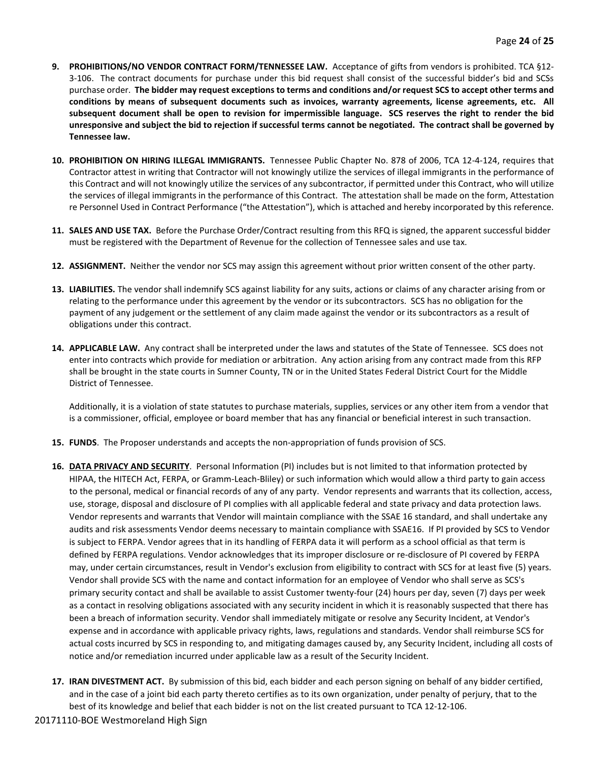- **9. PROHIBITIONS/NO VENDOR CONTRACT FORM/TENNESSEE LAW.** Acceptance of gifts from vendors is prohibited. TCA §12- 3-106. The contract documents for purchase under this bid request shall consist of the successful bidder's bid and SCSs purchase order. **The bidder may request exceptions to terms and conditions and/or request SCS to accept other terms and conditions by means of subsequent documents such as invoices, warranty agreements, license agreements, etc. All subsequent document shall be open to revision for impermissible language. SCS reserves the right to render the bid unresponsive and subject the bid to rejection if successful terms cannot be negotiated. The contract shall be governed by Tennessee law.**
- **10. PROHIBITION ON HIRING ILLEGAL IMMIGRANTS.** Tennessee Public Chapter No. 878 of 2006, TCA 12-4-124, requires that Contractor attest in writing that Contractor will not knowingly utilize the services of illegal immigrants in the performance of this Contract and will not knowingly utilize the services of any subcontractor, if permitted under this Contract, who will utilize the services of illegal immigrants in the performance of this Contract. The attestation shall be made on the form, Attestation re Personnel Used in Contract Performance ("the Attestation"), which is attached and hereby incorporated by this reference.
- **11. SALES AND USE TAX.** Before the Purchase Order/Contract resulting from this RFQ is signed, the apparent successful bidder must be registered with the Department of Revenue for the collection of Tennessee sales and use tax.
- **12. ASSIGNMENT.** Neither the vendor nor SCS may assign this agreement without prior written consent of the other party.
- **13. LIABILITIES.** The vendor shall indemnify SCS against liability for any suits, actions or claims of any character arising from or relating to the performance under this agreement by the vendor or its subcontractors. SCS has no obligation for the payment of any judgement or the settlement of any claim made against the vendor or its subcontractors as a result of obligations under this contract.
- **14. APPLICABLE LAW.** Any contract shall be interpreted under the laws and statutes of the State of Tennessee. SCS does not enter into contracts which provide for mediation or arbitration. Any action arising from any contract made from this RFP shall be brought in the state courts in Sumner County, TN or in the United States Federal District Court for the Middle District of Tennessee.

Additionally, it is a violation of state statutes to purchase materials, supplies, services or any other item from a vendor that is a commissioner, official, employee or board member that has any financial or beneficial interest in such transaction.

- **15. FUNDS**. The Proposer understands and accepts the non-appropriation of funds provision of SCS.
- **16. DATA PRIVACY AND SECURITY**. Personal Information (PI) includes but is not limited to that information protected by HIPAA, the HITECH Act, FERPA, or Gramm-Leach-Bliley) or such information which would allow a third party to gain access to the personal, medical or financial records of any of any party. Vendor represents and warrants that its collection, access, use, storage, disposal and disclosure of PI complies with all applicable federal and state privacy and data protection laws. Vendor represents and warrants that Vendor will maintain compliance with the SSAE 16 standard, and shall undertake any audits and risk assessments Vendor deems necessary to maintain compliance with SSAE16. If PI provided by SCS to Vendor is subject to FERPA. Vendor agrees that in its handling of FERPA data it will perform as a school official as that term is defined by FERPA regulations. Vendor acknowledges that its improper disclosure or re-disclosure of PI covered by FERPA may, under certain circumstances, result in Vendor's exclusion from eligibility to contract with SCS for at least five (5) years. Vendor shall provide SCS with the name and contact information for an employee of Vendor who shall serve as SCS's primary security contact and shall be available to assist Customer twenty-four (24) hours per day, seven (7) days per week as a contact in resolving obligations associated with any security incident in which it is reasonably suspected that there has been a breach of information security. Vendor shall immediately mitigate or resolve any Security Incident, at Vendor's expense and in accordance with applicable privacy rights, laws, regulations and standards. Vendor shall reimburse SCS for actual costs incurred by SCS in responding to, and mitigating damages caused by, any Security Incident, including all costs of notice and/or remediation incurred under applicable law as a result of the Security Incident.
- **17. IRAN DIVESTMENT ACT.** By submission of this bid, each bidder and each person signing on behalf of any bidder certified, and in the case of a joint bid each party thereto certifies as to its own organization, under penalty of perjury, that to the best of its knowledge and belief that each bidder is not on the list created pursuant to TCA 12-12-106.